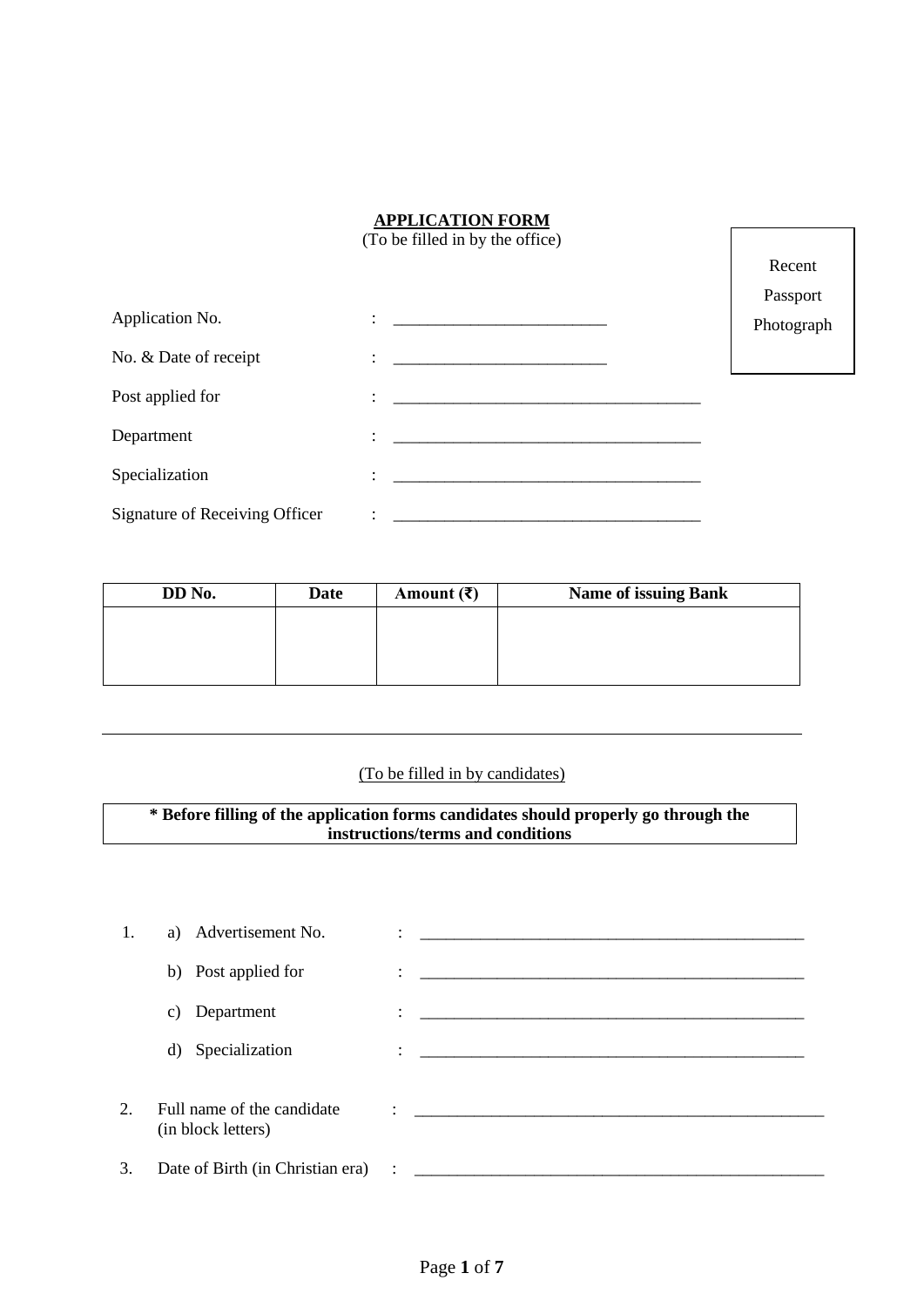### **APPLICATION FORM**

 $\lceil$ 

|                                | (To be filled in by the office)                        |            |
|--------------------------------|--------------------------------------------------------|------------|
|                                |                                                        | Recent     |
|                                |                                                        | Passport   |
| Application No.                | <u>: _________________________________</u>             | Photograph |
| No. & Date of receipt          | <u> 1989 - Johann Stein, mars an deutscher Stein (</u> |            |
| Post applied for               |                                                        |            |
| Department                     |                                                        |            |
| Specialization                 |                                                        |            |
| Signature of Receiving Officer |                                                        |            |

| DD No. | Date | Amount $(\bar{\mathbf{z}})$ | <b>Name of issuing Bank</b> |
|--------|------|-----------------------------|-----------------------------|
|        |      |                             |                             |
|        |      |                             |                             |
|        |      |                             |                             |
|        |      |                             |                             |

# (To be filled in by candidates)

**\* Before filling of the application forms candidates should properly go through the instructions/terms and conditions**

| 1. | a) Advertisement No.                             | <u> 1980 - Jan Barbara, martin da shekara tsa ma shekara tsa 1980 a 1981 a shekara tsa 1981 a 1982 a 1983 a 1984</u> |
|----|--------------------------------------------------|----------------------------------------------------------------------------------------------------------------------|
|    | b) Post applied for                              |                                                                                                                      |
|    | Department<br>C)                                 | <u> 1980 - Andrea Andrewski, fransk politik (d. 1980)</u>                                                            |
|    | d) Specialization                                |                                                                                                                      |
| 2. | Full name of the candidate<br>(in block letters) | <u> 1980 - Jan Samuel Barbara, margaret e</u> n 1980 eta eta batean batean batean batean batean batean batean batean |
| 3. |                                                  |                                                                                                                      |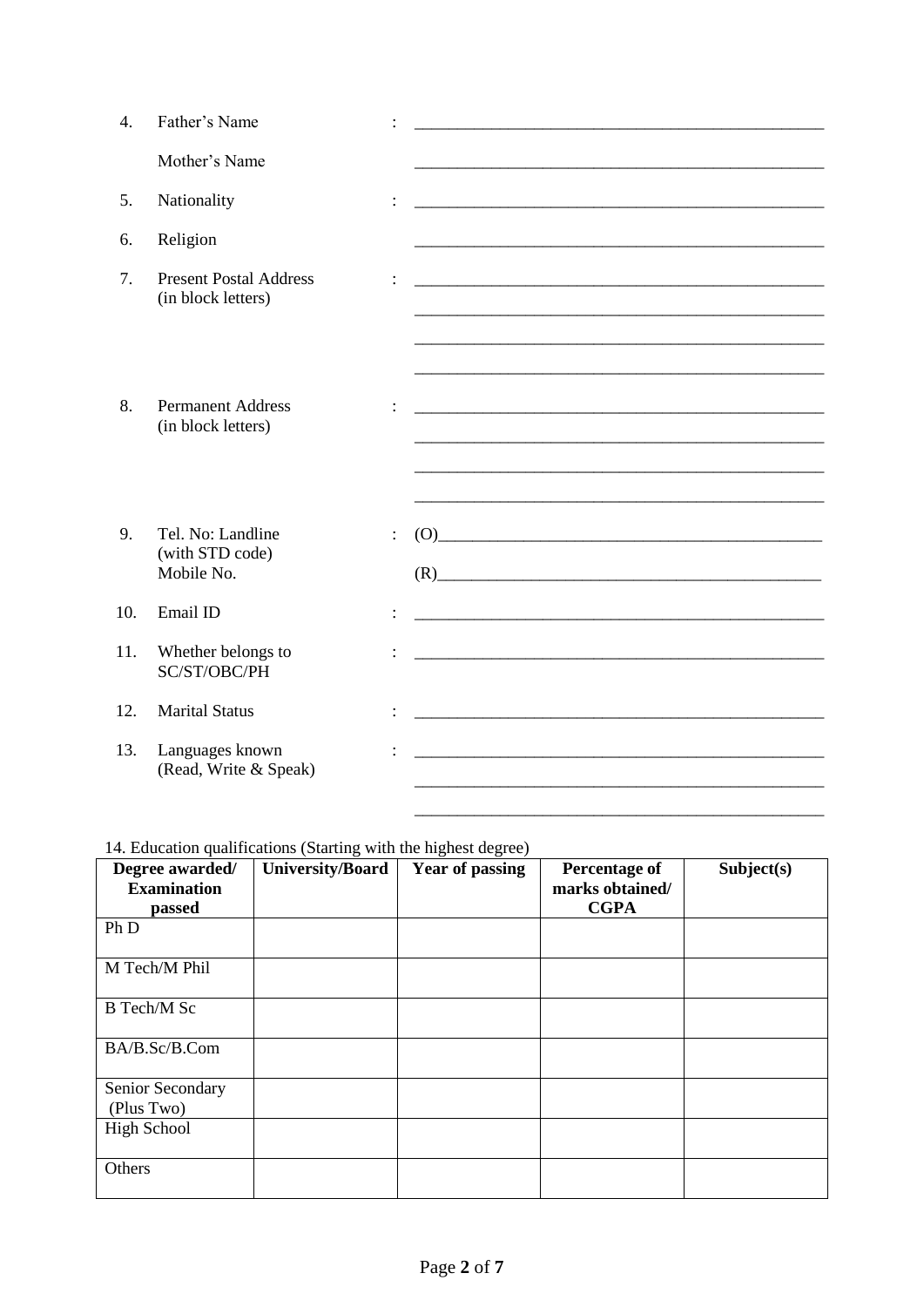| 4.  | Father's Name                                       |                |                                                                                                                                                                                                                                                                                                                                                                                                                                                                                                                                                                                                                                                                                                                                                                                                 |
|-----|-----------------------------------------------------|----------------|-------------------------------------------------------------------------------------------------------------------------------------------------------------------------------------------------------------------------------------------------------------------------------------------------------------------------------------------------------------------------------------------------------------------------------------------------------------------------------------------------------------------------------------------------------------------------------------------------------------------------------------------------------------------------------------------------------------------------------------------------------------------------------------------------|
|     | Mother's Name                                       |                |                                                                                                                                                                                                                                                                                                                                                                                                                                                                                                                                                                                                                                                                                                                                                                                                 |
| 5.  | Nationality                                         |                | <u> 1989 - Johann John Stoff, deutscher Stoffen und der Stoffen und der Stoffen und der Stoffen und der Stoffen u</u>                                                                                                                                                                                                                                                                                                                                                                                                                                                                                                                                                                                                                                                                           |
| 6.  | Religion                                            |                |                                                                                                                                                                                                                                                                                                                                                                                                                                                                                                                                                                                                                                                                                                                                                                                                 |
| 7.  | <b>Present Postal Address</b><br>(in block letters) |                | <u> 1989 - Johann John Stoff, deutscher Stoffen und der Stoffen und der Stoffen und der Stoffen und der Stoffen</u>                                                                                                                                                                                                                                                                                                                                                                                                                                                                                                                                                                                                                                                                             |
|     |                                                     |                |                                                                                                                                                                                                                                                                                                                                                                                                                                                                                                                                                                                                                                                                                                                                                                                                 |
| 8.  | <b>Permanent Address</b><br>(in block letters)      |                |                                                                                                                                                                                                                                                                                                                                                                                                                                                                                                                                                                                                                                                                                                                                                                                                 |
|     |                                                     |                |                                                                                                                                                                                                                                                                                                                                                                                                                                                                                                                                                                                                                                                                                                                                                                                                 |
| 9.  | Tel. No: Landline<br>(with STD code)<br>Mobile No.  | $\ddot{\cdot}$ | $(0) \qquad \qquad \overbrace{\qquad \qquad }^{(0)} \qquad \qquad \overbrace{\qquad \qquad }^{(0)} \qquad \qquad \overbrace{\qquad \qquad }^{(0)} \qquad \qquad \overbrace{\qquad \qquad }^{(0)} \qquad \qquad \overbrace{\qquad \qquad }^{(0)} \qquad \qquad \overbrace{\qquad \qquad }^{(0)} \qquad \qquad \overbrace{\qquad \qquad }^{(0)} \qquad \qquad \overbrace{\qquad \qquad }^{(0)} \qquad \qquad \overbrace{\qquad \qquad }^{(0)} \qquad \qquad \overbrace{\qquad \qquad }^{(0)} \qquad \qquad \overbrace{\qquad \qquad }^{$<br>$(R)$ and $(R)$ and $(R)$ and $(R)$ and $(R)$ and $(R)$ and $(R)$ and $(R)$ and $(R)$ and $(R)$ and $(R)$ and $(R)$ and $(R)$ and $(R)$ and $(R)$ and $(R)$ and $(R)$ and $(R)$ and $(R)$ and $(R)$ and $(R)$ and $(R)$ and $(R)$ and $(R)$ and $(R)$ |
| 10. | Email ID                                            |                |                                                                                                                                                                                                                                                                                                                                                                                                                                                                                                                                                                                                                                                                                                                                                                                                 |
| 11. | Whether belongs to<br>SC/ST/OBC/PH                  |                | <u> 1989 - Johann John Stone, markin film ar yn y brenin y brenin y brenin y brenin y brenin y brenin y brenin y</u>                                                                                                                                                                                                                                                                                                                                                                                                                                                                                                                                                                                                                                                                            |
| 12. | <b>Marital Status</b>                               |                | <u> 1989 - Johann Harry Harry Harry Harry Harry Harry Harry Harry Harry Harry Harry Harry Harry Harry Harry Harry</u>                                                                                                                                                                                                                                                                                                                                                                                                                                                                                                                                                                                                                                                                           |
| 13. | Languages known<br>(Read, Write & Speak)            |                |                                                                                                                                                                                                                                                                                                                                                                                                                                                                                                                                                                                                                                                                                                                                                                                                 |
|     |                                                     |                |                                                                                                                                                                                                                                                                                                                                                                                                                                                                                                                                                                                                                                                                                                                                                                                                 |

# 14. Education qualifications (Starting with the highest degree)

| Degree awarded/<br><b>Examination</b><br>passed | <b>University/Board</b> | <b>Year of passing</b> | <b>Percentage of</b><br>marks obtained/<br><b>CGPA</b> | Subject(s) |
|-------------------------------------------------|-------------------------|------------------------|--------------------------------------------------------|------------|
| Ph D                                            |                         |                        |                                                        |            |
| M Tech/M Phil                                   |                         |                        |                                                        |            |
| <b>B</b> Tech/M Sc                              |                         |                        |                                                        |            |
| BA/B.Sc/B.Com                                   |                         |                        |                                                        |            |
| Senior Secondary<br>(Plus Two)                  |                         |                        |                                                        |            |
| <b>High School</b>                              |                         |                        |                                                        |            |
| Others                                          |                         |                        |                                                        |            |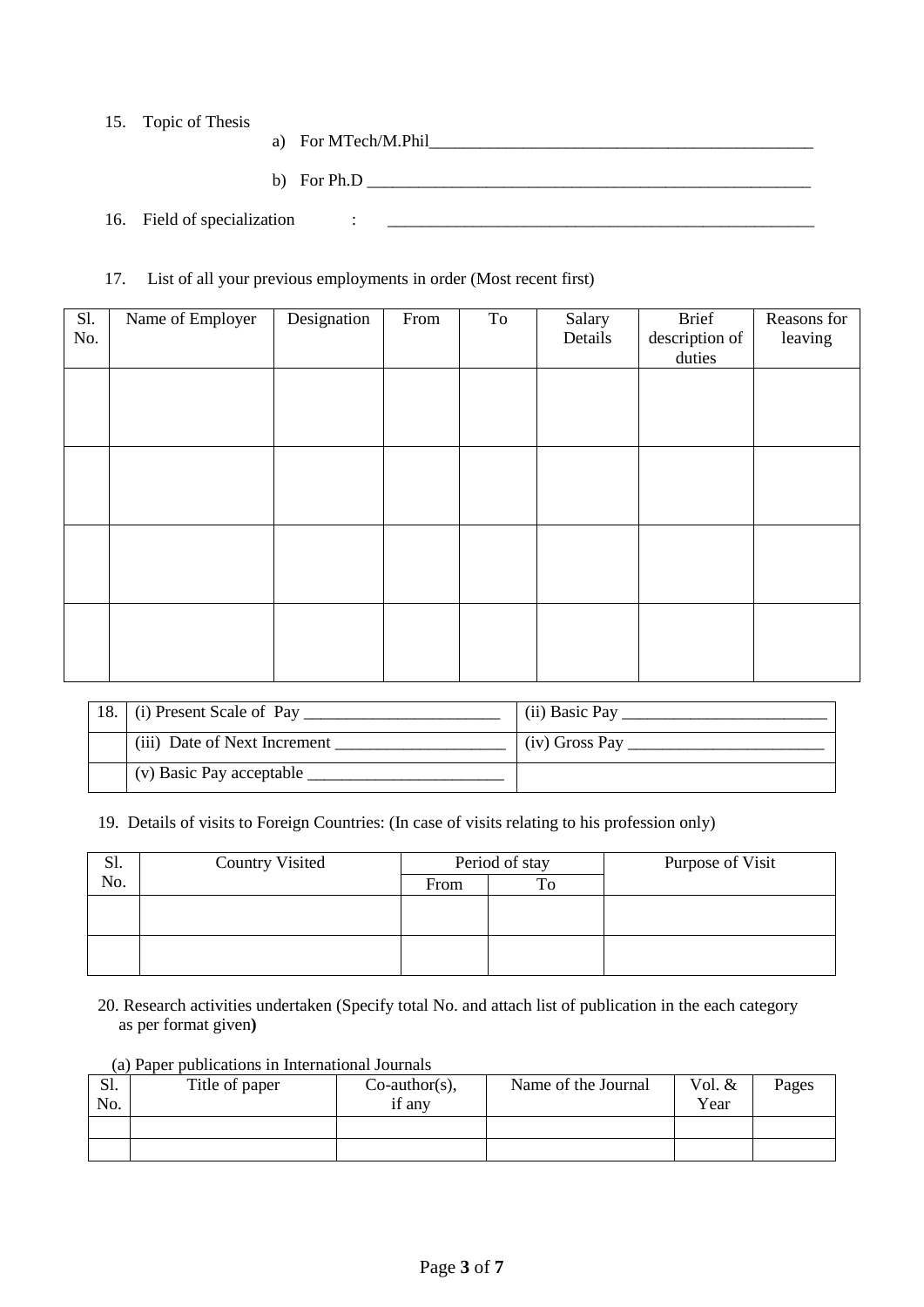15. Topic of Thesis

a) For MTech/M.Phil\_\_\_\_\_\_\_\_\_\_\_\_\_\_\_\_\_\_\_\_\_\_\_\_\_\_\_\_\_\_\_\_\_\_\_\_\_\_\_\_\_\_\_\_\_

b) For Ph.D \_\_\_\_\_\_\_\_\_\_\_\_\_\_\_\_\_\_\_\_\_\_\_\_\_\_\_\_\_\_\_\_\_\_\_\_\_\_\_\_\_\_\_\_\_\_\_\_\_\_\_\_

16. Field of specialization : \_\_\_\_\_\_\_\_\_\_\_\_\_\_\_\_\_\_\_\_\_\_\_\_\_\_\_\_\_\_\_\_\_\_\_\_\_\_\_\_\_\_\_\_\_\_\_\_\_\_

#### 17. List of all your previous employments in order (Most recent first)

| Sl.<br>No. | Name of Employer | Designation | From | To | Salary<br>Details | Brief<br>description of<br>duties | Reasons for<br>leaving |
|------------|------------------|-------------|------|----|-------------------|-----------------------------------|------------------------|
|            |                  |             |      |    |                   |                                   |                        |
|            |                  |             |      |    |                   |                                   |                        |
|            |                  |             |      |    |                   |                                   |                        |
|            |                  |             |      |    |                   |                                   |                        |
|            |                  |             |      |    |                   |                                   |                        |

| $(i)$ Present Scale of Pay   | (ii) Basic Pay |
|------------------------------|----------------|
| (iii) Date of Next Increment | (iv) Gross Pay |
| (v) Basic Pay acceptable     |                |

19. Details of visits to Foreign Countries: (In case of visits relating to his profession only)

| S1. | <b>Country Visited</b> | Period of stay |    | Purpose of Visit |
|-----|------------------------|----------------|----|------------------|
| No. |                        | From           | To |                  |
|     |                        |                |    |                  |
|     |                        |                |    |                  |
|     |                        |                |    |                  |
|     |                        |                |    |                  |

20. Research activities undertaken (Specify total No. and attach list of publication in the each category as per format given**)**

|     | $(a)$ r aper publications in international Journals |                  |                     |          |       |  |  |  |
|-----|-----------------------------------------------------|------------------|---------------------|----------|-------|--|--|--|
| Sl. | Title of paper                                      | $Co$ -author(s), | Name of the Journal | Vol. $&$ | Pages |  |  |  |
| No. |                                                     | if any           |                     | Year     |       |  |  |  |
|     |                                                     |                  |                     |          |       |  |  |  |
|     |                                                     |                  |                     |          |       |  |  |  |

# (a) Paper publications in International Journals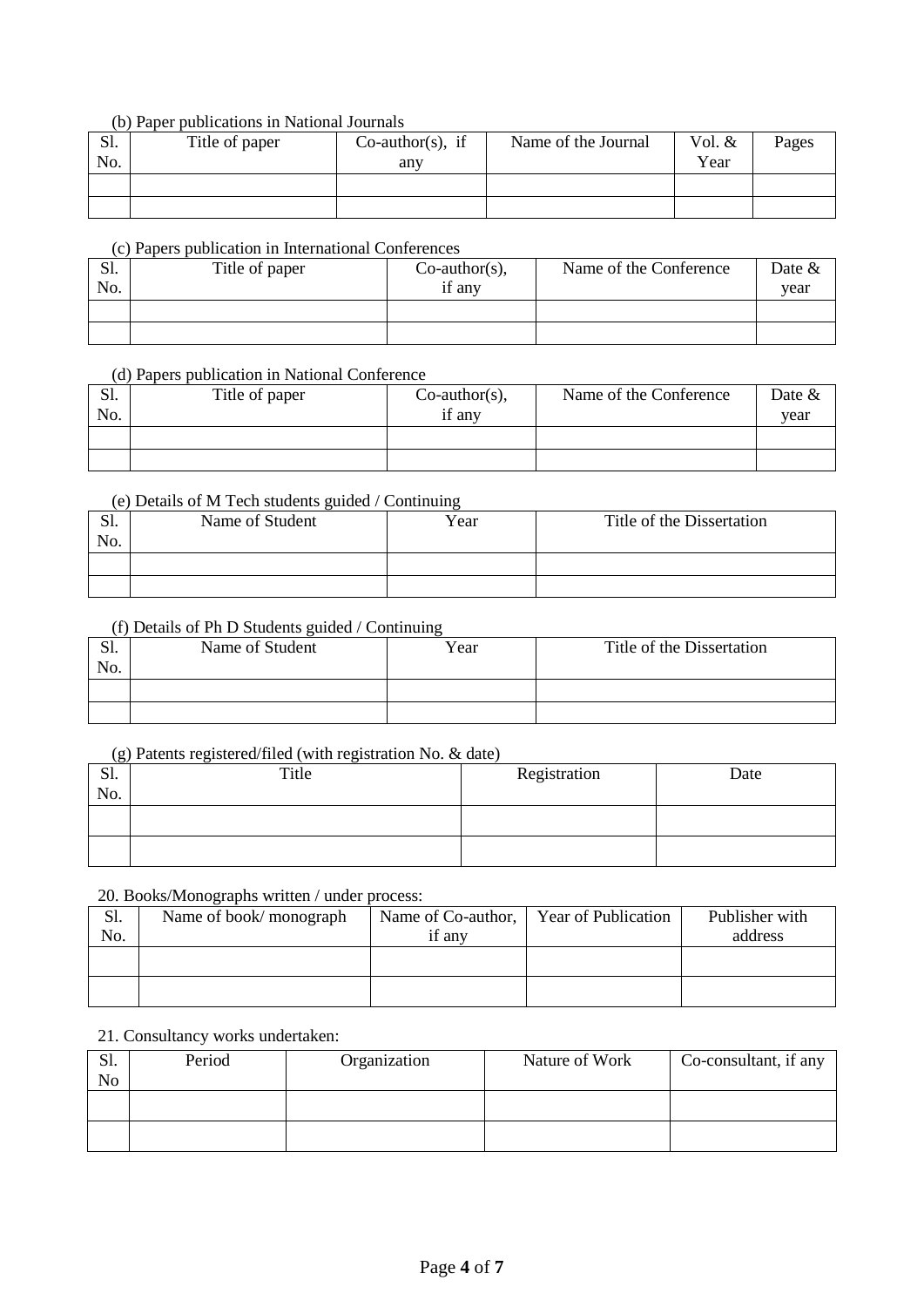### (b) Paper publications in National Journals

| S1.<br>No. | Title of paper | $Co$ -author(s), if<br>any | Name of the Journal | Vol. &<br>Year | Pages |
|------------|----------------|----------------------------|---------------------|----------------|-------|
|            |                |                            |                     |                |       |
|            |                |                            |                     |                |       |

### (c) Papers publication in International Conferences

| S1.<br>No. | Title of paper | $Co$ -author(s),<br>if any | Name of the Conference | Date $&$<br>vear |
|------------|----------------|----------------------------|------------------------|------------------|
|            |                |                            |                        |                  |
|            |                |                            |                        |                  |

#### (d) Papers publication in National Conference

| Sl. | Title of paper | $Co$ -author(s), | Name of the Conference | Date & |
|-----|----------------|------------------|------------------------|--------|
| No. |                | if any           |                        | vear   |
|     |                |                  |                        |        |
|     |                |                  |                        |        |

### (e) Details of M Tech students guided / Continuing

| C <sub>1</sub><br>.01. | Name of Student | Year | Title of the Dissertation |
|------------------------|-----------------|------|---------------------------|
| No.                    |                 |      |                           |
|                        |                 |      |                           |
|                        |                 |      |                           |

### (f) Details of Ph D Students guided / Continuing

| C <sub>1</sub><br>J۱.<br>No. | Name of Student | Year | Title of the Dissertation |
|------------------------------|-----------------|------|---------------------------|
|                              |                 |      |                           |
|                              |                 |      |                           |

#### (g) Patents registered/filed (with registration No. & date)

| $\sim$<br>C <sub>1</sub><br>51.<br>No. | Title | Registration | Date |
|----------------------------------------|-------|--------------|------|
|                                        |       |              |      |
|                                        |       |              |      |

# 20. Books/Monographs written / under process:

| Sl. | Name of book/monograph | Name of Co-author, | <b>Year of Publication</b> | Publisher with |
|-----|------------------------|--------------------|----------------------------|----------------|
| No. |                        | if any             |                            | address        |
|     |                        |                    |                            |                |
|     |                        |                    |                            |                |
|     |                        |                    |                            |                |
|     |                        |                    |                            |                |

#### 21. Consultancy works undertaken:

| S1.<br>No | Period | Organization | Nature of Work | Co-consultant, if any |
|-----------|--------|--------------|----------------|-----------------------|
|           |        |              |                |                       |
|           |        |              |                |                       |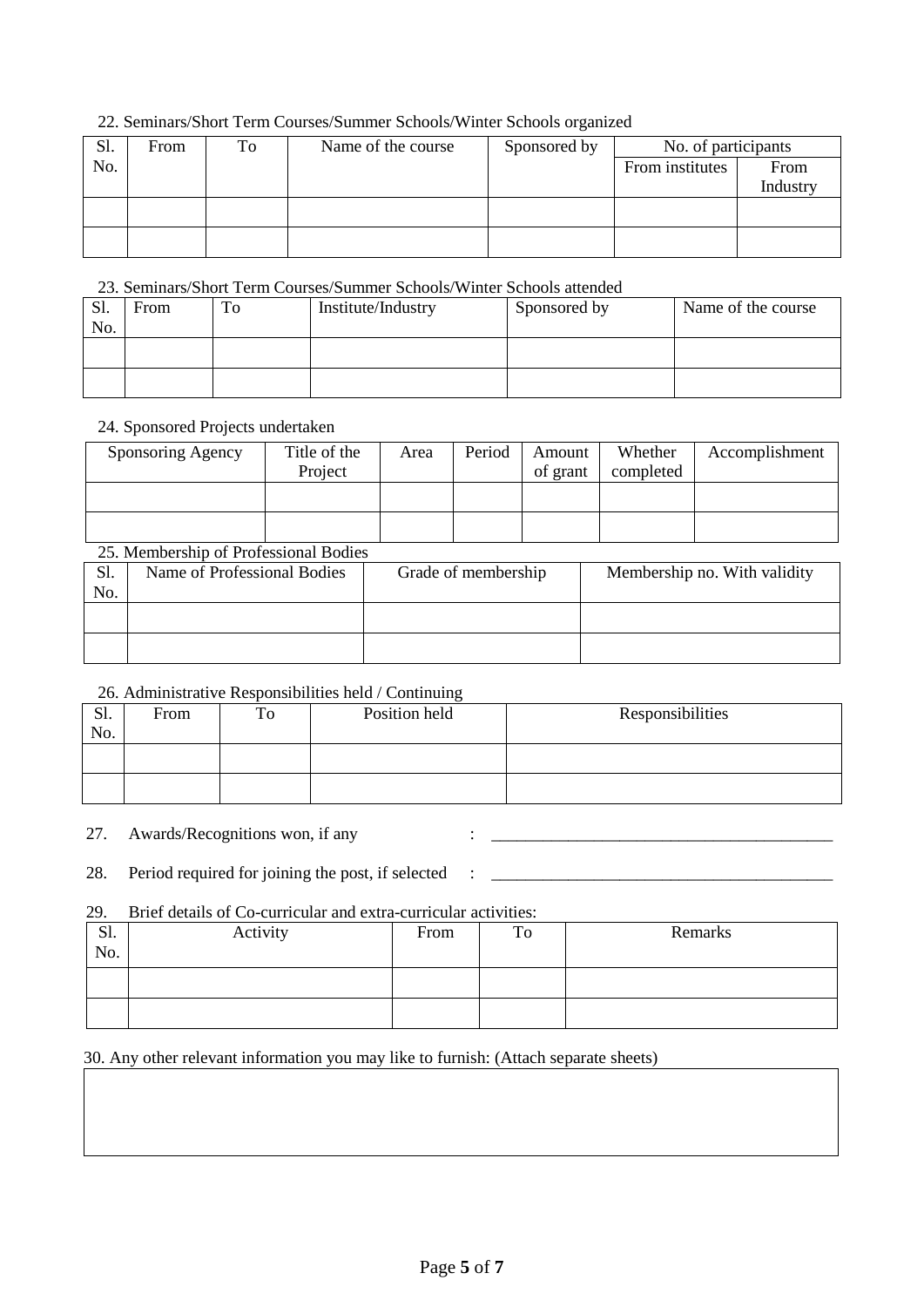# 22. Seminars/Short Term Courses/Summer Schools/Winter Schools organized

| Sl. | From | To | Name of the course | Sponsored by | No. of participants |          |
|-----|------|----|--------------------|--------------|---------------------|----------|
| No. |      |    |                    |              | From institutes     | From     |
|     |      |    |                    |              |                     | Industry |
|     |      |    |                    |              |                     |          |
|     |      |    |                    |              |                     |          |
|     |      |    |                    |              |                     |          |

### 23. Seminars/Short Term Courses/Summer Schools/Winter Schools attended

| S1.<br>No. | From | To | Institute/Industry | Sponsored by | Name of the course |
|------------|------|----|--------------------|--------------|--------------------|
|            |      |    |                    |              |                    |
|            |      |    |                    |              |                    |

### 24. Sponsored Projects undertaken

| Sponsoring Agency | Title of the<br>Project | Area | Period | Amount<br>of grant | Whether<br>completed | Accomplishment |
|-------------------|-------------------------|------|--------|--------------------|----------------------|----------------|
|                   |                         |      |        |                    |                      |                |
|                   |                         |      |        |                    |                      |                |

# 25. Membership of Professional Bodies

| Sl.<br>No. | Name of Professional Bodies | Grade of membership | Membership no. With validity |
|------------|-----------------------------|---------------------|------------------------------|
|            |                             |                     |                              |
|            |                             |                     |                              |

### 26. Administrative Responsibilities held / Continuing

| S1.<br>No. | From | To | Position held | Responsibilities |
|------------|------|----|---------------|------------------|
|            |      |    |               |                  |
|            |      |    |               |                  |

27. Awards/Recognitions won, if any : \_\_\_\_\_\_\_\_\_\_\_\_\_\_\_\_\_\_\_\_\_\_\_\_\_\_\_\_\_\_\_\_\_\_\_\_\_\_\_\_

28. Period required for joining the post, if selected : \_\_\_\_\_\_\_\_\_\_\_\_\_\_\_\_\_\_\_\_\_\_\_\_\_\_\_\_\_\_\_\_\_\_\_\_\_\_\_\_

#### 29. Brief details of Co-curricular and extra-curricular activities:

| Sl.<br>No. | Activity | From | To | Remarks |
|------------|----------|------|----|---------|
|            |          |      |    |         |
|            |          |      |    |         |

# 30. Any other relevant information you may like to furnish: (Attach separate sheets)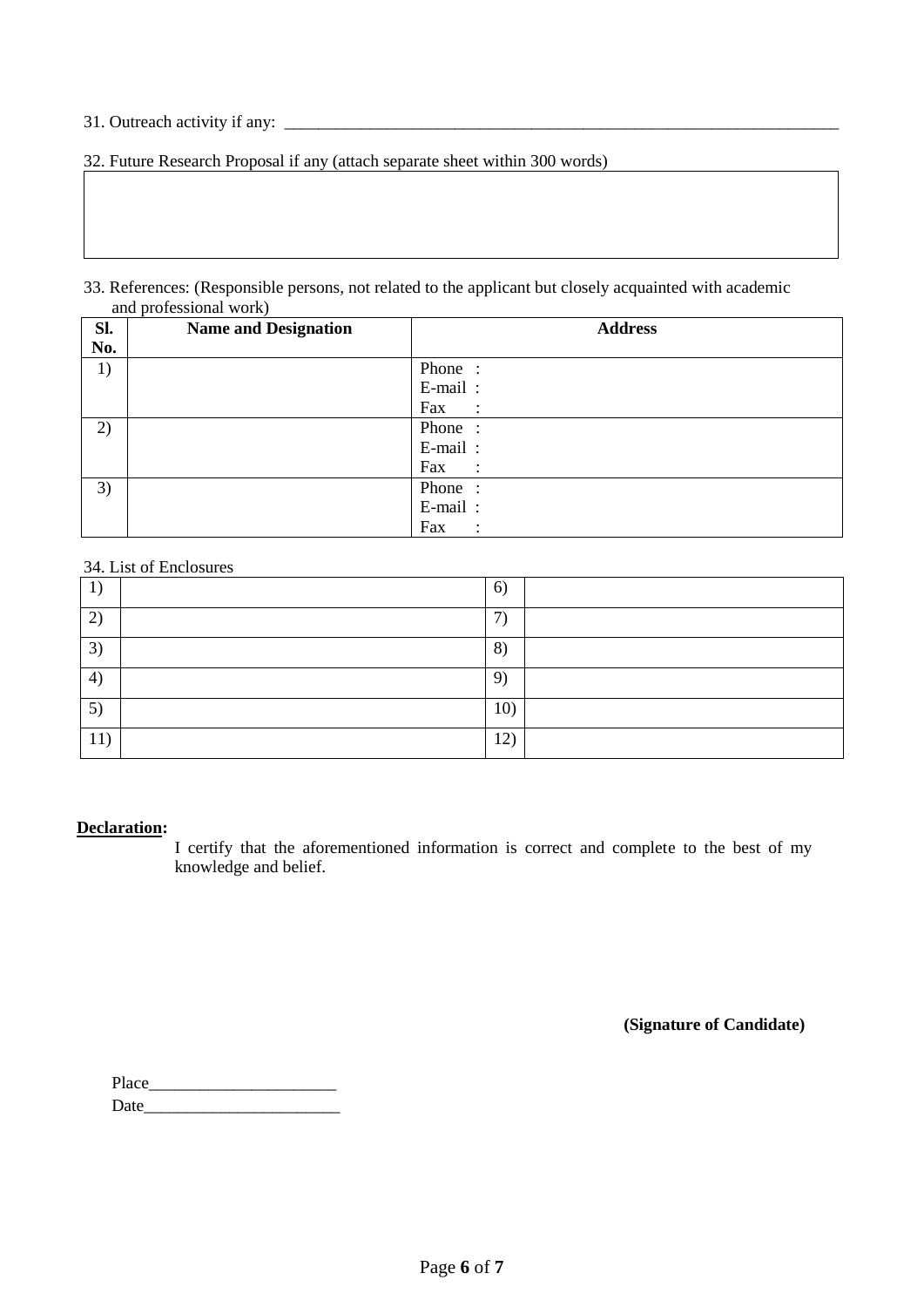# 31. Outreach activity if any: \_\_\_\_\_\_\_\_\_\_\_\_\_\_\_\_\_\_\_\_\_\_\_\_\_\_\_\_\_\_\_\_\_\_\_\_\_\_\_\_\_\_\_\_\_\_\_\_\_\_\_\_\_\_\_\_\_\_\_\_\_\_\_\_\_

32. Future Research Proposal if any (attach separate sheet within 300 words)

#### 33. References: (Responsible persons, not related to the applicant but closely acquainted with academic and professional work)

| SI. | <b>Name and Designation</b> | <b>Address</b>       |
|-----|-----------------------------|----------------------|
| No. |                             |                      |
| 1)  |                             | Phone:               |
|     |                             | E-mail:              |
|     |                             | Fax :                |
| 2)  |                             | Phone:               |
|     |                             | E-mail:              |
|     |                             | Fax<br>$\mathcal{L}$ |
| 3)  |                             | Phone:               |
|     |                             | E-mail:              |
|     |                             | Fax                  |

#### 34. List of Enclosures

|                            | 6)            |  |
|----------------------------|---------------|--|
| $\mathbf{2}$               | $\mathcal{L}$ |  |
| 3)                         | 8)            |  |
| $\left(4\right)$           | $\mathbf{Q}$  |  |
| $5^{\circ}$                | 10)           |  |
| $\blacktriangleleft$<br>11 | 12)           |  |

#### **Declaration:**

I certify that the aforementioned information is correct and complete to the best of my knowledge and belief.

 **(Signature of Candidate)**

Place\_\_\_\_\_\_\_\_\_\_\_\_\_\_\_\_\_\_\_\_\_\_ Date and the set of  $\alpha$